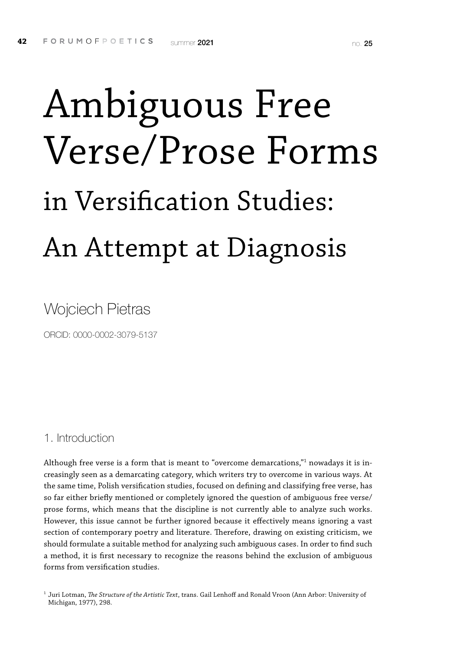# Ambiguous Free Verse/Prose Forms in Versification Studies: An Attempt at Diagnosis

#### Wojciech Pietras

ORCID: 0000-0002-3079-5137

#### 1. Introduction

Although free verse is a form that is meant to "overcome demarcations," $^{\rm n}$  nowadays it is increasingly seen as a demarcating category, which writers try to overcome in various ways. At the same time, Polish versification studies, focused on defining and classifying free verse, has so far either briefly mentioned or completely ignored the question of ambiguous free verse/ prose forms, which means that the discipline is not currently able to analyze such works. However, this issue cannot be further ignored because it effectively means ignoring a vast section of contemporary poetry and literature. Therefore, drawing on existing criticism, we should formulate a suitable method for analyzing such ambiguous cases. In order to find such a method, it is first necessary to recognize the reasons behind the exclusion of ambiguous forms from versification studies.

<sup>1</sup> Juri Lotman, *The Structure of the Artistic Text*, trans. Gail Lenhoff and Ronald Vroon (Ann Arbor: University of Michigan, 1977), 298.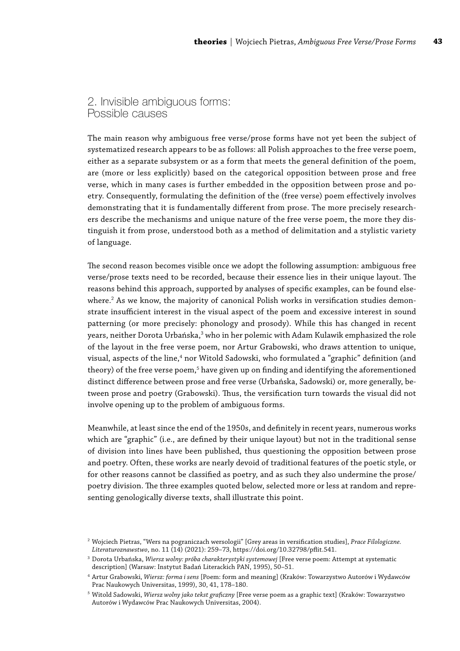#### 2. Invisible ambiguous forms: Possible causes

The main reason why ambiguous free verse/prose forms have not yet been the subject of systematized research appears to be as follows: all Polish approaches to the free verse poem, either as a separate subsystem or as a form that meets the general definition of the poem, are (more or less explicitly) based on the categorical opposition between prose and free verse, which in many cases is further embedded in the opposition between prose and poetry. Consequently, formulating the definition of the (free verse) poem effectively involves demonstrating that it is fundamentally different from prose. The more precisely researchers describe the mechanisms and unique nature of the free verse poem, the more they distinguish it from prose, understood both as a method of delimitation and a stylistic variety of language.

The second reason becomes visible once we adopt the following assumption: ambiguous free verse/prose texts need to be recorded, because their essence lies in their unique layout. The reasons behind this approach, supported by analyses of specific examples, can be found elsewhere.2 As we know, the majority of canonical Polish works in versification studies demonstrate insufficient interest in the visual aspect of the poem and excessive interest in sound patterning (or more precisely: phonology and prosody). While this has changed in recent years, neither Dorota Urbańska, $^3$  who in her polemic with Adam Kulawik emphasized the role of the layout in the free verse poem, nor Artur Grabowski, who draws attention to unique, visual, aspects of the line,<sup>4</sup> nor Witold Sadowski, who formulated a "graphic" definition (and theory) of the free verse poem,<sup>5</sup> have given up on finding and identifying the aforementioned distinct difference between prose and free verse (Urbańska, Sadowski) or, more generally, between prose and poetry (Grabowski). Thus, the versification turn towards the visual did not involve opening up to the problem of ambiguous forms.

Meanwhile, at least since the end of the 1950s, and definitely in recent years, numerous works which are "graphic" (i.e., are defined by their unique layout) but not in the traditional sense of division into lines have been published, thus questioning the opposition between prose and poetry. Often, these works are nearly devoid of traditional features of the poetic style, or for other reasons cannot be classified as poetry, and as such they also undermine the prose/ poetry division. The three examples quoted below, selected more or less at random and representing genologically diverse texts, shall illustrate this point.

<sup>2</sup> Wojciech Pietras, "Wers na pograniczach wersologii" [Grey areas in versification studies], *Prace Filologiczne. Literaturoznawstwo*, no. 11 (14) (2021): 259–73, https://doi.org/10.32798/pflit.541.

<sup>3</sup> Dorota Urbańska, *Wiersz wolny: próba charakterystyki systemowej* [Free verse poem: Attempt at systematic description] (Warsaw: Instytut Badań Literackich PAN, 1995), 50–51.

<sup>4</sup> Artur Grabowski, *Wiersz: forma i sens* [Poem: form and meaning] (Kraków: Towarzystwo Autorów i Wydawców Prac Naukowych Universitas, 1999), 30, 41, 178–180.

<sup>5</sup> Witold Sadowski, *Wiersz wolny jako tekst graficzny* [Free verse poem as a graphic text] (Kraków: Towarzystwo Autorów i Wydawców Prac Naukowych Universitas, 2004).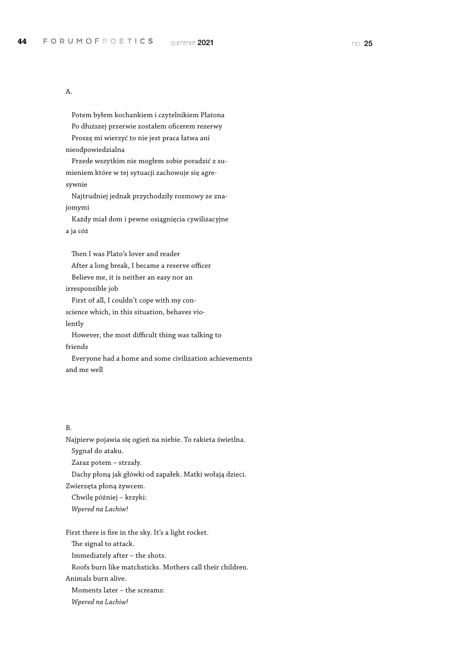#### A.

Potem byłem kochankiem i czytelnikiem Platona Po dłuższej przerwie zostałem oficerem rezerwy Proszę mi wierzyć to nie jest praca łatwa ani nieodpowiedzialna Przede wszytkim nie mogłem sobie poradzić z su-

mieniem które w tej sytuacji zachowuje się agresywnie

Najtrudniej jednak przychodziły rozmowy ze znajomymi

Każdy miał dom i pewne osiągnięcia cywilizacyjne a ja cóż

Then I was Plato's lover and reader

After a long break, I became a reserve officer

Believe me, it is neither an easy nor an

irresponsible job

First of all, I couldn't cope with my conscience which, in this situation, behaves violently

However, the most difficult thing was talking to friends

Everyone had a home and some civilization achievements and me well

#### B.

Najpierw pojawia się ogień na niebie. To rakieta świetlna. Sygnał do ataku. Zaraz potem – strzały. Dachy płoną jak główki od zapałek. Matki wołają dzieci. Zwierzęta płoną żywcem. Chwilę później – krzyki: *Wpered na Lachiw!*

First there is fire in the sky. It's a light rocket.

The signal to attack.

Immediately after – the shots.

Roofs burn like matchsticks. Mothers call their children.

Animals burn alive.

Moments later – the screams: *Wpered na Lachiw!*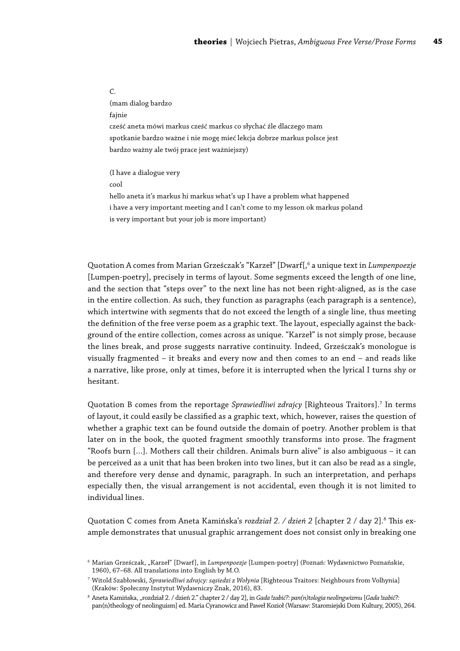C. (mam dialog bardzo fajnie cześć aneta mówi markus cześć markus co słychać źle dlaczego mam spotkanie bardzo ważne i nie mogę mieć lekcja dobrze markus polsce jest bardzo ważny ale twój prace jest ważniejszy)

(I have a dialogue very cool hello aneta it's markus hi markus what's up I have a problem what happened i have a very important meeting and I can't come to my lesson ok markus poland is very important but your job is more important)

Quotation A comes from Marian Grześczak's "Karzeł" [Dwarf[,6 a unique text in *Lumpenpoezje* [Lumpen-poetry], precisely in terms of layout. Some segments exceed the length of one line, and the section that "steps over" to the next line has not been right-aligned, as is the case in the entire collection. As such, they function as paragraphs (each paragraph is a sentence), which intertwine with segments that do not exceed the length of a single line, thus meeting the definition of the free verse poem as a graphic text. The layout, especially against the background of the entire collection, comes across as unique. "Karzeł" is not simply prose, because the lines break, and prose suggests narrative continuity. Indeed, Grześczak's monologue is visually fragmented – it breaks and every now and then comes to an end – and reads like a narrative, like prose, only at times, before it is interrupted when the lyrical I turns shy or hesitant.

Quotation B comes from the reportage Sprawiedliwi zdrajcy [Righteous Traitors].<sup>7</sup> In terms of layout, it could easily be classified as a graphic text, which, however, raises the question of whether a graphic text can be found outside the domain of poetry. Another problem is that later on in the book, the quoted fragment smoothly transforms into prose. The fragment "Roofs burn […]. Mothers call their children. Animals burn alive" is also ambiguous – it can be perceived as a unit that has been broken into two lines, but it can also be read as a single, and therefore very dense and dynamic, paragraph. In such an interpretation, and perhaps especially then, the visual arrangement is not accidental, even though it is not limited to individual lines.

Quotation C comes from Aneta Kamińska's *rozdział 2. / dzień 2* [chapter 2 / day 2].<sup>8</sup> This example demonstrates that unusual graphic arrangement does not consist only in breaking one

<sup>&</sup>lt;sup>6</sup> Marian Grześczak, "Karzeł" [Dwarf], in *Lumpenpoezje* [Lumpen-poetry] (Poznań: Wydawnictwo Poznańskie, 1960), 67–68. All translations into English by M.O.

<sup>7</sup> Witold Szabłowski, *Sprawiedliwi zdrajcy: sąsiedzi z Wołynia* [Righteous Traitors: Neighbours from Volhynia] (Kraków: Społeczny Instytut Wydawniczy Znak, 2016), 83.

<sup>8</sup> Aneta Kamińska, "rozdział 2. / dzień 2." chapter 2 / day 2], in *Gada !zabić?: pan(n)tologia neolingwizmu* [*Gada !zabić?:* pan(n)theology of neolinguism] ed. Maria Cyranowicz and Paweł Kozioł (Warsaw: Staromiejski Dom Kultury, 2005), 264.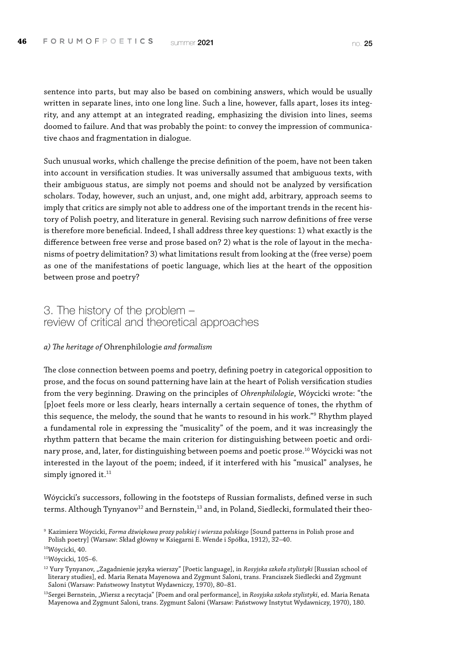sentence into parts, but may also be based on combining answers, which would be usually written in separate lines, into one long line. Such a line, however, falls apart, loses its integrity, and any attempt at an integrated reading, emphasizing the division into lines, seems doomed to failure. And that was probably the point: to convey the impression of communicative chaos and fragmentation in dialogue.

Such unusual works, which challenge the precise definition of the poem, have not been taken into account in versification studies. It was universally assumed that ambiguous texts, with their ambiguous status, are simply not poems and should not be analyzed by versification scholars. Today, however, such an unjust, and, one might add, arbitrary, approach seems to imply that critics are simply not able to address one of the important trends in the recent history of Polish poetry, and literature in general. Revising such narrow definitions of free verse is therefore more beneficial. Indeed, I shall address three key questions: 1) what exactly is the difference between free verse and prose based on? 2) what is the role of layout in the mechanisms of poetry delimitation? 3) what limitations result from looking at the (free verse) poem as one of the manifestations of poetic language, which lies at the heart of the opposition between prose and poetry?

#### 3. The history of the problem – review of critical and theoretical approaches

#### *a) The heritage of* Ohrenphilologie *and formalism*

The close connection between poems and poetry, defining poetry in categorical opposition to prose, and the focus on sound patterning have lain at the heart of Polish versification studies from the very beginning. Drawing on the principles of *Ohrenphilologie*, Wóycicki wrote: "the [p]oet feels more or less clearly, hears internally a certain sequence of tones, the rhythm of this sequence, the melody, the sound that he wants to resound in his work."9 Rhythm played a fundamental role in expressing the "musicality" of the poem, and it was increasingly the rhythm pattern that became the main criterion for distinguishing between poetic and ordinary prose, and, later, for distinguishing between poems and poetic prose.<sup>10</sup> Wóycicki was not interested in the layout of the poem; indeed, if it interfered with his "musical" analyses, he simply ignored it.<sup>11</sup>

Wóycicki's successors, following in the footsteps of Russian formalists, defined verse in such terms. Although Tynyanov<sup>12</sup> and Bernstein,<sup>13</sup> and, in Poland, Siedlecki, formulated their theo-

<sup>9</sup> Kazimierz Wóycicki, *Forma dźwiękowa prozy polskiej i wiersza polskiego* [Sound patterns in Polish prose and Polish poetry] (Warsaw: Skład główny w Księgarni E. Wende i Spółka, 1912), 32–40.

<sup>10</sup>Wóycicki, 40.

<sup>11</sup>Wóycicki, 105–6.

<sup>12</sup> Yury Tynyanov, "Zagadnienie języka wierszy" [Poetic language], in *Rosyjska szkoła stylistyki* [Russian school of literary studies], ed. Maria Renata Mayenowa and Zygmunt Saloni, trans. Franciszek Siedlecki and Zygmunt Saloni (Warsaw: Państwowy Instytut Wydawniczy, 1970), 80–81.

<sup>13</sup>Sergei Bernstein, "Wiersz a recytacja" [Poem and oral performance], in *Rosyjska szkoła stylistyki*, ed. Maria Renata Mayenowa and Zygmunt Saloni, trans. Zygmunt Saloni (Warsaw: Państwowy Instytut Wydawniczy, 1970), 180.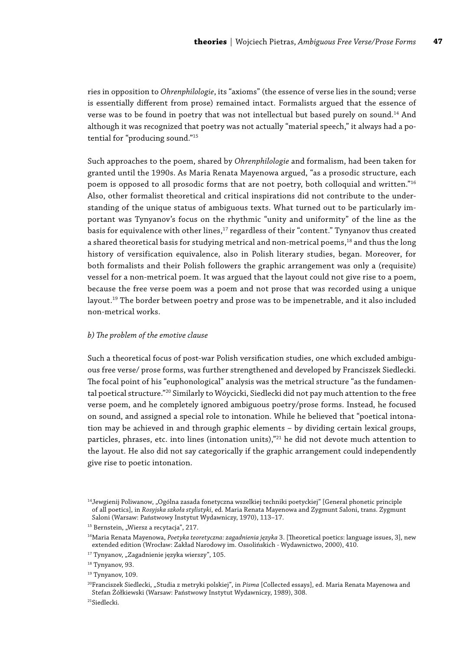ries in opposition to *Ohrenphilologie*, its "axioms" (the essence of verse lies in the sound; verse is essentially different from prose) remained intact. Formalists argued that the essence of verse was to be found in poetry that was not intellectual but based purely on sound.14 And although it was recognized that poetry was not actually "material speech," it always had a potential for "producing sound."15

Such approaches to the poem, shared by *Ohrenphilologie* and formalism, had been taken for granted until the 1990s. As Maria Renata Mayenowa argued, "as a prosodic structure, each poem is opposed to all prosodic forms that are not poetry, both colloquial and written."16 Also, other formalist theoretical and critical inspirations did not contribute to the understanding of the unique status of ambiguous texts. What turned out to be particularly important was Tynyanov's focus on the rhythmic "unity and uniformity" of the line as the basis for equivalence with other lines,<sup>17</sup> regardless of their "content." Tynyanov thus created a shared theoretical basis for studying metrical and non-metrical poems,<sup>18</sup> and thus the long history of versification equivalence, also in Polish literary studies, began. Moreover, for both formalists and their Polish followers the graphic arrangement was only a (requisite) vessel for a non-metrical poem. It was argued that the layout could not give rise to a poem, because the free verse poem was a poem and not prose that was recorded using a unique layout.19 The border between poetry and prose was to be impenetrable, and it also included non-metrical works.

#### *b) The problem of the emotive clause*

Such a theoretical focus of post-war Polish versification studies, one which excluded ambiguous free verse/ prose forms, was further strengthened and developed by Franciszek Siedlecki. The focal point of his "euphonological" analysis was the metrical structure "as the fundamental poetical structure."20 Similarly to Wóycicki, Siedlecki did not pay much attention to the free verse poem, and he completely ignored ambiguous poetry/prose forms. Instead, he focused on sound, and assigned a special role to intonation. While he believed that "poetical intonation may be achieved in and through graphic elements – by dividing certain lexical groups, particles, phrases, etc. into lines (intonation units),"<sup>21</sup> he did not devote much attention to the layout. He also did not say categorically if the graphic arrangement could independently give rise to poetic intonation.

<sup>&</sup>lt;sup>14</sup>Jewgienij Poliwanow, "Ogólna zasada fonetyczna wszelkiej techniki poetyckiej" [General phonetic principle of all poetics], in *Rosyjska szkoła stylistyki*, ed. Maria Renata Mayenowa and Zygmunt Saloni, trans. Zygmunt Saloni (Warsaw: Państwowy Instytut Wydawniczy, 1970), 113–17.

<sup>&</sup>lt;sup>15</sup> Bernstein, "Wiersz a recytacja", 217.

<sup>16</sup>Maria Renata Mayenowa, *Poetyka teoretyczna: zagadnienia języka* 3. [Theoretical poetics: language issues, 3], new extended edition (Wrocław: Zakład Narodowy im. Ossolińskich - Wydawnictwo, 2000), 410.

 $^{17}$  Tynyanov, "Zagadnienie języka wierszy", 105.

<sup>18</sup> Tynyanov, 93.

<sup>&</sup>lt;sup>19</sup> Tynyanov, 109.

<sup>&</sup>lt;sup>20</sup>Franciszek Siedlecki, "Studia z metryki polskiej", in Pisma [Collected essays], ed. Maria Renata Mayenowa and Stefan Żółkiewski (Warsaw: Państwowy Instytut Wydawniczy, 1989), 308.

<sup>21</sup>Siedlecki.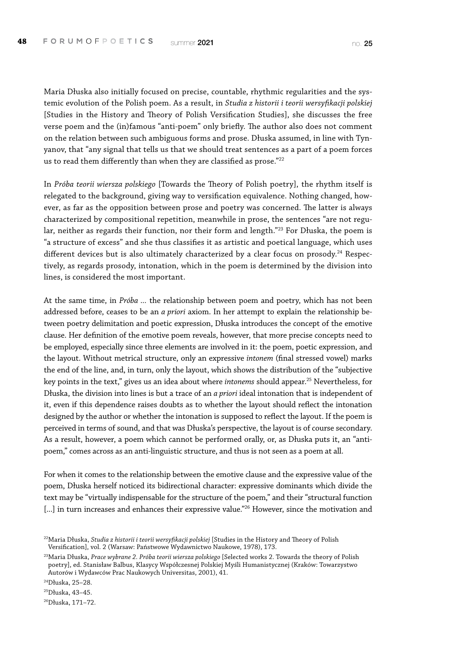Maria Dłuska also initially focused on precise, countable, rhythmic regularities and the systemic evolution of the Polish poem. As a result, in *Studia z historii i teorii wersyfikacji polskiej* [Studies in the History and Theory of Polish Versification Studies], she discusses the free verse poem and the (in)famous "anti-poem" only briefly. The author also does not comment on the relation between such ambiguous forms and prose. Dłuska assumed, in line with Tynyanov, that "any signal that tells us that we should treat sentences as a part of a poem forces us to read them differently than when they are classified as prose."22

In *Próba teorii wiersza polskiego* [Towards the Theory of Polish poetry], the rhythm itself is relegated to the background, giving way to versification equivalence. Nothing changed, however, as far as the opposition between prose and poetry was concerned. The latter is always characterized by compositional repetition, meanwhile in prose, the sentences "are not regular, neither as regards their function, nor their form and length."<sup>23</sup> For Dłuska, the poem is "a structure of excess" and she thus classifies it as artistic and poetical language, which uses different devices but is also ultimately characterized by a clear focus on prosody.<sup>24</sup> Respectively, as regards prosody, intonation, which in the poem is determined by the division into lines, is considered the most important.

At the same time, in *Próba ...* the relationship between poem and poetry, which has not been addressed before, ceases to be an *a priori* axiom. In her attempt to explain the relationship between poetry delimitation and poetic expression, Dłuska introduces the concept of the emotive clause. Her definition of the emotive poem reveals, however, that more precise concepts need to be employed, especially since three elements are involved in it: the poem, poetic expression, and the layout. Without metrical structure, only an expressive *intonem* (final stressed vowel) marks the end of the line, and, in turn, only the layout, which shows the distribution of the "subjective key points in the text," gives us an idea about where *intonems* should appear.25 Nevertheless, for Dłuska, the division into lines is but a trace of an *a priori* ideal intonation that is independent of it, even if this dependence raises doubts as to whether the layout should reflect the intonation designed by the author or whether the intonation is supposed to reflect the layout. If the poem is perceived in terms of sound, and that was Dłuska's perspective, the layout is of course secondary. As a result, however, a poem which cannot be performed orally, or, as Dłuska puts it, an "antipoem," comes across as an anti-linguistic structure, and thus is not seen as a poem at all.

For when it comes to the relationship between the emotive clause and the expressive value of the poem, Dłuska herself noticed its bidirectional character: expressive dominants which divide the text may be "virtually indispensable for the structure of the poem," and their "structural function [...] in turn increases and enhances their expressive value."<sup>26</sup> However, since the motivation and

<sup>22</sup>Maria Dłuska, *Studia z historii i teorii wersyfikacji polskiej* [Studies in the History and Theory of Polish Versification], vol. 2 (Warsaw: Państwowe Wydawnictwo Naukowe, 1978), 173.

<sup>&</sup>lt;sup>23</sup>Maria Dłuska, Prace wybrane 2. Próba teorii wiersza polskiego [Selected works 2. Towards the theory of Polish poetry], ed. Stanisław Balbus, Klasycy Współczesnej Polskiej Myśli Humanistycznej (Kraków: Towarzystwo Autorów i Wydawców Prac Naukowych Universitas, 2001), 41.

<sup>24</sup>Dłuska, 25–28.

<sup>25</sup>Dłuska, 43–45.

<sup>26</sup>Dłuska, 171–72.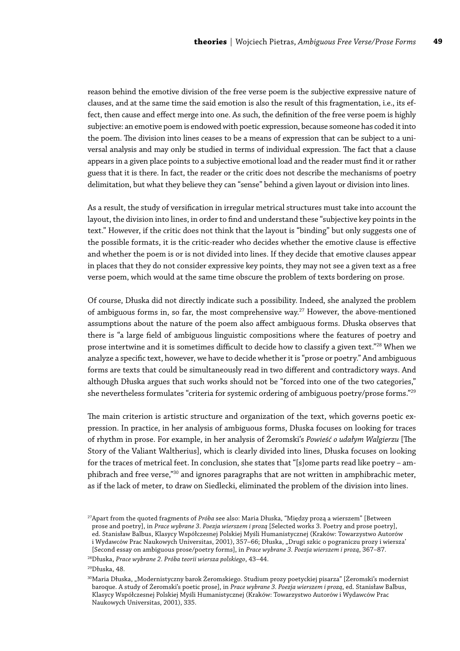reason behind the emotive division of the free verse poem is the subjective expressive nature of clauses, and at the same time the said emotion is also the result of this fragmentation, i.e., its effect, then cause and effect merge into one. As such, the definition of the free verse poem is highly subjective: an emotive poem is endowed with poetic expression, because someone has coded it into the poem. The division into lines ceases to be a means of expression that can be subject to a universal analysis and may only be studied in terms of individual expression. The fact that a clause appears in a given place points to a subjective emotional load and the reader must find it or rather guess that it is there. In fact, the reader or the critic does not describe the mechanisms of poetry delimitation, but what they believe they can "sense" behind a given layout or division into lines.

As a result, the study of versification in irregular metrical structures must take into account the layout, the division into lines, in order to find and understand these "subjective key points in the text." However, if the critic does not think that the layout is "binding" but only suggests one of the possible formats, it is the critic-reader who decides whether the emotive clause is effective and whether the poem is or is not divided into lines. If they decide that emotive clauses appear in places that they do not consider expressive key points, they may not see a given text as a free verse poem, which would at the same time obscure the problem of texts bordering on prose.

Of course, Dłuska did not directly indicate such a possibility. Indeed, she analyzed the problem of ambiguous forms in, so far, the most comprehensive way.<sup>27</sup> However, the above-mentioned assumptions about the nature of the poem also affect ambiguous forms. Dłuska observes that there is "a large field of ambiguous linguistic compositions where the features of poetry and prose intertwine and it is sometimes difficult to decide how to classify a given text."<sup>28</sup> When we analyze a specific text, however, we have to decide whether it is "prose or poetry." And ambiguous forms are texts that could be simultaneously read in two different and contradictory ways. And although Dłuska argues that such works should not be "forced into one of the two categories," she nevertheless formulates "criteria for systemic ordering of ambiguous poetry/prose forms."29

The main criterion is artistic structure and organization of the text, which governs poetic expression. In practice, in her analysis of ambiguous forms, Dłuska focuses on looking for traces of rhythm in prose. For example, in her analysis of Żeromski's *Powieść o udałym Walgierzu* [The Story of the Valiant Waltherius], which is clearly divided into lines, Dłuska focuses on looking for the traces of metrical feet. In conclusion, she states that "[s]ome parts read like poetry – amphibrach and free verse,"30 and ignores paragraphs that are not written in amphibrachic meter, as if the lack of meter, to draw on Siedlecki, eliminated the problem of the division into lines.

<sup>27</sup>Apart from the quoted fragments of *Próba* see also: Maria Dłuska, "Między prozą a wierszem" [Between prose and poetry], in *Prace wybrane 3. Poezja wierszem i prozą* [Selected works 3. Poetry and prose poetry], ed. Stanisław Balbus, Klasycy Współczesnej Polskiej Myśli Humanistycznej (Kraków: Towarzystwo Autorów i Wydawców Prac Naukowych Universitas, 2001), 357-66; Dłuska, "Drugi szkic o pograniczu prozy i wiersza' [Second essay on ambiguous prose/poetry forms], in *Prace wybrane 3. Poezja wierszem i prozą*, 367–87.

<sup>28</sup>Dłuska, *Prace wybrane 2. Próba teorii wiersza polskiego*, 43–44.

<sup>29</sup>Dłuska, 48.

<sup>30</sup>Maria Dłuska, "Modernistyczny barok Żeromskiego. Studium prozy poetyckiej pisarza" [Żeromski's modernist baroque. A study of Żeromski's poetic prose], in *Prace wybrane 3. Poezja wierszem i prozą*, ed. Stanisław Balbus, Klasycy Współczesnej Polskiej Myśli Humanistycznej (Kraków: Towarzystwo Autorów i Wydawców Prac Naukowych Universitas, 2001), 335.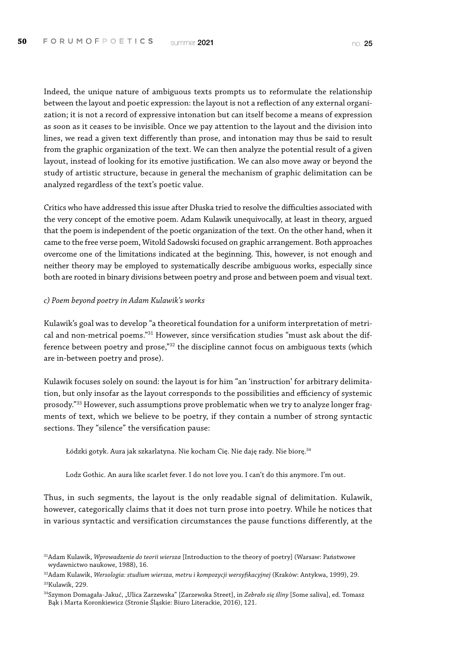Indeed, the unique nature of ambiguous texts prompts us to reformulate the relationship between the layout and poetic expression: the layout is not a reflection of any external organization; it is not a record of expressive intonation but can itself become a means of expression as soon as it ceases to be invisible. Once we pay attention to the layout and the division into lines, we read a given text differently than prose, and intonation may thus be said to result from the graphic organization of the text. We can then analyze the potential result of a given layout, instead of looking for its emotive justification. We can also move away or beyond the study of artistic structure, because in general the mechanism of graphic delimitation can be analyzed regardless of the text's poetic value.

Critics who have addressed this issue after Dłuska tried to resolve the difficulties associated with the very concept of the emotive poem. Adam Kulawik unequivocally, at least in theory, argued that the poem is independent of the poetic organization of the text. On the other hand, when it came to the free verse poem, Witold Sadowski focused on graphic arrangement. Both approaches overcome one of the limitations indicated at the beginning. This, however, is not enough and neither theory may be employed to systematically describe ambiguous works, especially since both are rooted in binary divisions between poetry and prose and between poem and visual text.

#### *c) Poem beyond poetry in Adam Kulawik's works*

Kulawik's goal was to develop "a theoretical foundation for a uniform interpretation of metrical and non-metrical poems."<sup>31</sup> However, since versification studies "must ask about the difference between poetry and prose,"<sup>32</sup> the discipline cannot focus on ambiguous texts (which are in-between poetry and prose).

Kulawik focuses solely on sound: the layout is for him "an 'instruction' for arbitrary delimitation, but only insofar as the layout corresponds to the possibilities and efficiency of systemic prosody."33 However, such assumptions prove problematic when we try to analyze longer fragments of text, which we believe to be poetry, if they contain a number of strong syntactic sections. They "silence" the versification pause:

Łódzki gotyk. Aura jak szkarlatyna. Nie kocham Cię. Nie daję rady. Nie biorę.34

Lodz Gothic. An aura like scarlet fever. I do not love you. I can't do this anymore. I'm out.

Thus, in such segments, the layout is the only readable signal of delimitation. Kulawik, however, categorically claims that it does not turn prose into poetry. While he notices that in various syntactic and versification circumstances the pause functions differently, at the

<sup>31</sup>Adam Kulawik, *Wprowadzenie do teorii wiersza* [Introduction to the theory of poetry] (Warsaw: Państwowe wydawnictwo naukowe, 1988), 16.

<sup>32</sup>Adam Kulawik, *Wersologia: studium wiersza, metru i kompozycji wersyfikacyjnej* (Kraków: Antykwa, 1999), 29. 33Kulawik, 229.

<sup>&</sup>lt;sup>34</sup>Szymon Domagała-Jakuć, "Ulica Zarzewska" [Zarzewska Street], in Zebrało się śliny [Some saliva], ed. Tomasz Bąk i Marta Koronkiewicz (Stronie Śląskie: Biuro Literackie, 2016), 121.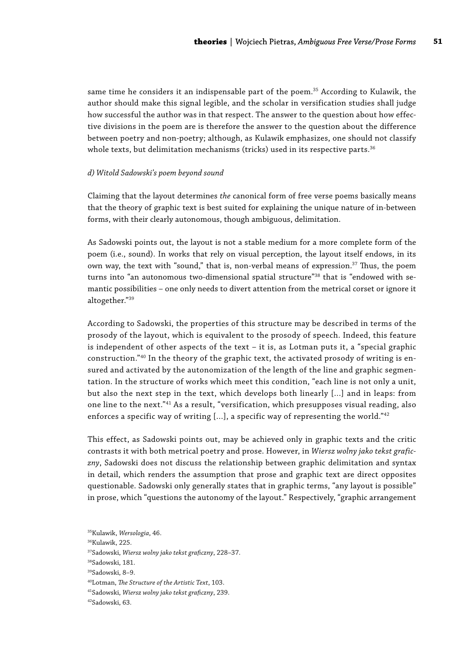same time he considers it an indispensable part of the poem.<sup>35</sup> According to Kulawik, the author should make this signal legible, and the scholar in versification studies shall judge how successful the author was in that respect. The answer to the question about how effective divisions in the poem are is therefore the answer to the question about the difference between poetry and non-poetry; although, as Kulawik emphasizes, one should not classify whole texts, but delimitation mechanisms (tricks) used in its respective parts. $36$ 

#### *d) Witold Sadowski's poem beyond sound*

Claiming that the layout determines *the* canonical form of free verse poems basically means that the theory of graphic text is best suited for explaining the unique nature of in-between forms, with their clearly autonomous, though ambiguous, delimitation.

As Sadowski points out, the layout is not a stable medium for a more complete form of the poem (i.e., sound). In works that rely on visual perception, the layout itself endows, in its own way, the text with "sound," that is, non-verbal means of expression.<sup>37</sup> Thus, the poem turns into "an autonomous two-dimensional spatial structure"<sup>38</sup> that is "endowed with semantic possibilities – one only needs to divert attention from the metrical corset or ignore it altogether."39

According to Sadowski, the properties of this structure may be described in terms of the prosody of the layout, which is equivalent to the prosody of speech. Indeed, this feature is independent of other aspects of the text – it is, as Lotman puts it, a "special graphic construction."40 In the theory of the graphic text, the activated prosody of writing is ensured and activated by the autonomization of the length of the line and graphic segmentation. In the structure of works which meet this condition, "each line is not only a unit, but also the next step in the text, which develops both linearly [...] and in leaps: from one line to the next."41 As a result, "versification, which presupposes visual reading, also enforces a specific way of writing  $[...]$ , a specific way of representing the world."<sup>42</sup>

This effect, as Sadowski points out, may be achieved only in graphic texts and the critic contrasts it with both metrical poetry and prose. However, in *Wiersz wolny jako tekst graficzny*, Sadowski does not discuss the relationship between graphic delimitation and syntax in detail, which renders the assumption that prose and graphic text are direct opposites questionable. Sadowski only generally states that in graphic terms, "any layout is possible" in prose, which "questions the autonomy of the layout." Respectively, "graphic arrangement

<sup>35</sup>Kulawik, *Wersologia*, 46.

<sup>36</sup>Kulawik, 225.

<sup>37</sup>Sadowski, *Wiersz wolny jako tekst graficzny*, 228–37.

<sup>38</sup>Sadowski, 181.

<sup>39</sup>Sadowski, 8–9.

<sup>40</sup>Lotman, *The Structure of the Artistic Text*, 103.

<sup>41</sup>Sadowski, *Wiersz wolny jako tekst graficzny*, 239.

<sup>42</sup>Sadowski, 63.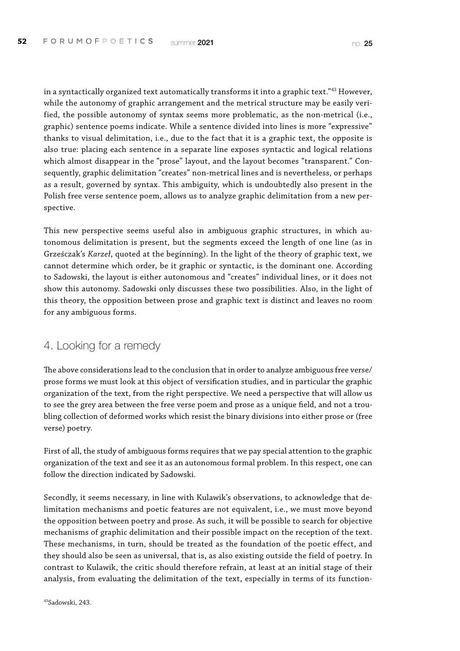in a syntactically organized text automatically transforms it into a graphic text."43 However, while the autonomy of graphic arrangement and the metrical structure may be easily verified, the possible autonomy of syntax seems more problematic, as the non-metrical (i.e., graphic) sentence poems indicate. While a sentence divided into lines is more "expressive" thanks to visual delimitation, i.e., due to the fact that it is a graphic text, the opposite is also true: placing each sentence in a separate line exposes syntactic and logical relations which almost disappear in the "prose" layout, and the layout becomes "transparent." Consequently, graphic delimitation "creates" non-metrical lines and is nevertheless, or perhaps as a result, governed by syntax. This ambiguity, which is undoubtedly also present in the Polish free verse sentence poem, allows us to analyze graphic delimitation from a new perspective.

This new perspective seems useful also in ambiguous graphic structures, in which autonomous delimitation is present, but the segments exceed the length of one line (as in Grześczak's *Karzeł*, quoted at the beginning). In the light of the theory of graphic text, we cannot determine which order, be it graphic or syntactic, is the dominant one. According to Sadowski, the layout is either autonomous and "creates" individual lines, or it does not show this autonomy. Sadowski only discusses these two possibilities. Also, in the light of this theory, the opposition between prose and graphic text is distinct and leaves no room for any ambiguous forms.

#### 4. Looking for a remedy

The above considerations lead to the conclusion that in order to analyze ambiguous free verse/ prose forms we must look at this object of versification studies, and in particular the graphic organization of the text, from the right perspective. We need a perspective that will allow us to see the grey area between the free verse poem and prose as a unique field, and not a troubling collection of deformed works which resist the binary divisions into either prose or (free verse) poetry.

First of all, the study of ambiguous forms requires that we pay special attention to the graphic organization of the text and see it as an autonomous formal problem. In this respect, one can follow the direction indicated by Sadowski.

Secondly, it seems necessary, in line with Kulawik's observations, to acknowledge that delimitation mechanisms and poetic features are not equivalent, i.e., we must move beyond the opposition between poetry and prose. As such, it will be possible to search for objective mechanisms of graphic delimitation and their possible impact on the reception of the text. These mechanisms, in turn, should be treated as the foundation of the poetic effect, and they should also be seen as universal, that is, as also existing outside the field of poetry. In contrast to Kulawik, the critic should therefore refrain, at least at an initial stage of their analysis, from evaluating the delimitation of the text, especially in terms of its function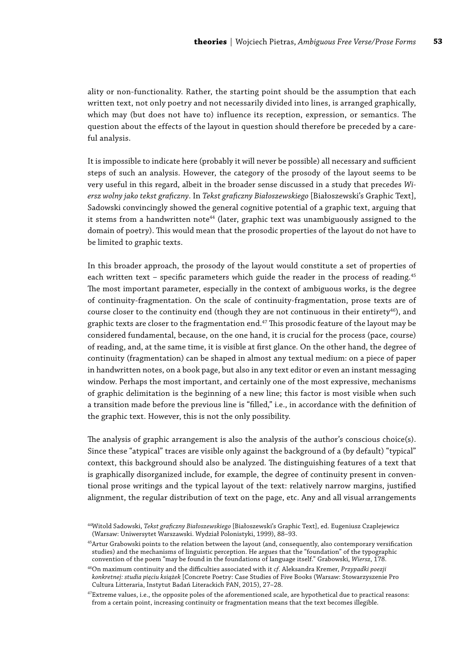ality or non-functionality. Rather, the starting point should be the assumption that each written text, not only poetry and not necessarily divided into lines, is arranged graphically, which may (but does not have to) influence its reception, expression, or semantics. The question about the effects of the layout in question should therefore be preceded by a careful analysis.

It is impossible to indicate here (probably it will never be possible) all necessary and sufficient steps of such an analysis. However, the category of the prosody of the layout seems to be very useful in this regard, albeit in the broader sense discussed in a study that precedes *Wiersz wolny jako tekst graficzny*. In *Tekst graficzny Białoszewskiego* [Białoszewski's Graphic Text], Sadowski convincingly showed the general cognitive potential of a graphic text, arguing that it stems from a handwritten note<sup>44</sup> (later, graphic text was unambiguously assigned to the domain of poetry). This would mean that the prosodic properties of the layout do not have to be limited to graphic texts.

In this broader approach, the prosody of the layout would constitute a set of properties of each written text – specific parameters which guide the reader in the process of reading.<sup>45</sup> The most important parameter, especially in the context of ambiguous works, is the degree of continuity-fragmentation. On the scale of continuity-fragmentation, prose texts are of course closer to the continuity end (though they are not continuous in their entirety<sup>46</sup>), and graphic texts are closer to the fragmentation end.<sup>47</sup> This prosodic feature of the layout may be considered fundamental, because, on the one hand, it is crucial for the process (pace, course) of reading, and, at the same time, it is visible at first glance. On the other hand, the degree of continuity (fragmentation) can be shaped in almost any textual medium: on a piece of paper in handwritten notes, on a book page, but also in any text editor or even an instant messaging window. Perhaps the most important, and certainly one of the most expressive, mechanisms of graphic delimitation is the beginning of a new line; this factor is most visible when such a transition made before the previous line is "filled," i.e., in accordance with the definition of the graphic text. However, this is not the only possibility.

The analysis of graphic arrangement is also the analysis of the author's conscious choice(s). Since these "atypical" traces are visible only against the background of a (by default) "typical" context, this background should also be analyzed. The distinguishing features of a text that is graphically disorganized include, for example, the degree of continuity present in conventional prose writings and the typical layout of the text: relatively narrow margins, justified alignment, the regular distribution of text on the page, etc. Any and all visual arrangements

<sup>44</sup>Witold Sadowski, *Tekst graficzny Białoszewskiego* [Białoszewski's Graphic Text], ed. Eugeniusz Czaplejewicz (Warsaw: Uniwersytet Warszawski. Wydział Polonistyki, 1999), 88–93.

<sup>&</sup>lt;sup>45</sup>Artur Grabowski points to the relation between the layout (and, consequently, also contemporary versification studies) and the mechanisms of linguistic perception. He argues that the "foundation" of the typographic convention of the poem "may be found in the foundations of language itself." Grabowski, *Wiersz*, 178.

<sup>46</sup>On maximum continuity and the difficulties associated with it *cf*. Aleksandra Kremer, *Przypadki poezji konkretnej: studia pięciu książek* [Concrete Poetry: Case Studies of Five Books (Warsaw: Stowarzyszenie Pro Cultura Litteraria, Instytut Badań Literackich PAN, 2015), 27–28.

 $47$ Extreme values, i.e., the opposite poles of the aforementioned scale, are hypothetical due to practical reasons: from a certain point, increasing continuity or fragmentation means that the text becomes illegible.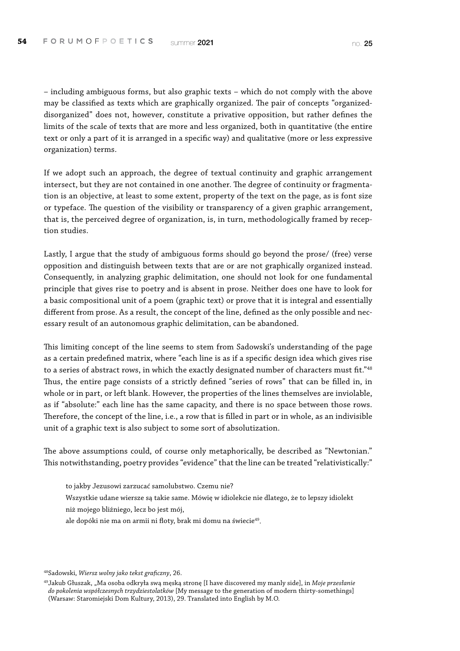– including ambiguous forms, but also graphic texts – which do not comply with the above may be classified as texts which are graphically organized. The pair of concepts "organizeddisorganized" does not, however, constitute a privative opposition, but rather defines the limits of the scale of texts that are more and less organized, both in quantitative (the entire text or only a part of it is arranged in a specific way) and qualitative (more or less expressive organization) terms.

If we adopt such an approach, the degree of textual continuity and graphic arrangement intersect, but they are not contained in one another. The degree of continuity or fragmentation is an objective, at least to some extent, property of the text on the page, as is font size or typeface. The question of the visibility or transparency of a given graphic arrangement, that is, the perceived degree of organization, is, in turn, methodologically framed by reception studies.

Lastly, I argue that the study of ambiguous forms should go beyond the prose/ (free) verse opposition and distinguish between texts that are or are not graphically organized instead. Consequently, in analyzing graphic delimitation, one should not look for one fundamental principle that gives rise to poetry and is absent in prose. Neither does one have to look for a basic compositional unit of a poem (graphic text) or prove that it is integral and essentially different from prose. As a result, the concept of the line, defined as the only possible and necessary result of an autonomous graphic delimitation, can be abandoned.

This limiting concept of the line seems to stem from Sadowski's understanding of the page as a certain predefined matrix, where "each line is as if a specific design idea which gives rise to a series of abstract rows, in which the exactly designated number of characters must fit."48 Thus, the entire page consists of a strictly defined "series of rows" that can be filled in, in whole or in part, or left blank. However, the properties of the lines themselves are inviolable, as if "absolute:" each line has the same capacity, and there is no space between those rows. Therefore, the concept of the line, i.e., a row that is filled in part or in whole, as an indivisible unit of a graphic text is also subject to some sort of absolutization.

The above assumptions could, of course only metaphorically, be described as "Newtonian." This notwithstanding, poetry provides "evidence" that the line can be treated "relativistically:"

to jakby Jezusowi zarzucać samolubstwo. Czemu nie?

Wszystkie udane wiersze są takie same. Mówię w idiolekcie nie dlatego, że to lepszy idiolekt niż mojego bliźniego, lecz bo jest mój,

ale dopóki nie ma on armii ni floty, brak mi domu na świecie<sup>49</sup>.

<sup>48</sup>Sadowski, *Wiersz wolny jako tekst graficzny*, 26.

<sup>49</sup>Jakub Głuszak, "Ma osoba odkryła swą męską stronę [I have discovered my manly side], in *Moje przesłanie do pokolenia współczesnych trzydziestolatków* [My message to the generation of modern thirty-somethings] (Warsaw: Staromiejski Dom Kultury, 2013), 29. Translated into English by M.O.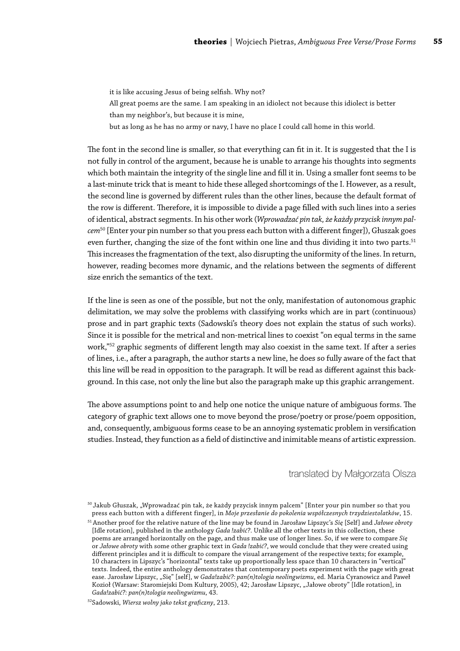it is like accusing Jesus of being selfish. Why not? All great poems are the same. I am speaking in an idiolect not because this idiolect is better than my neighbor's, but because it is mine,

but as long as he has no army or navy, I have no place I could call home in this world.

The font in the second line is smaller, so that everything can fit in it. It is suggested that the I is not fully in control of the argument, because he is unable to arrange his thoughts into segments which both maintain the integrity of the single line and fill it in. Using a smaller font seems to be a last-minute trick that is meant to hide these alleged shortcomings of the I. However, as a result, the second line is governed by different rules than the other lines, because the default format of the row is different. Therefore, it is impossible to divide a page filled with such lines into a series of identical, abstract segments. In his other work (*Wprowadzać pin tak, że każdy przycisk innym palcem*<sup>50</sup> [Enter your pin number so that you press each button with a different finger]), Głuszak goes even further, changing the size of the font within one line and thus dividing it into two parts.<sup>51</sup> This increases the fragmentation of the text, also disrupting the uniformity of the lines. In return, however, reading becomes more dynamic, and the relations between the segments of different size enrich the semantics of the text.

If the line is seen as one of the possible, but not the only, manifestation of autonomous graphic delimitation, we may solve the problems with classifying works which are in part (continuous) prose and in part graphic texts (Sadowski's theory does not explain the status of such works). Since it is possible for the metrical and non-metrical lines to coexist "on equal terms in the same work,"<sup>52</sup> graphic segments of different length may also coexist in the same text. If after a series of lines, i.e., after a paragraph, the author starts a new line, he does so fully aware of the fact that this line will be read in opposition to the paragraph. It will be read as different against this background. In this case, not only the line but also the paragraph make up this graphic arrangement.

The above assumptions point to and help one notice the unique nature of ambiguous forms. The category of graphic text allows one to move beyond the prose/poetry or prose/poem opposition, and, consequently, ambiguous forms cease to be an annoying systematic problem in versification studies. Instead, they function as a field of distinctive and inimitable means of artistic expression.

#### translated by Małgorzata Olsza

 $50$  Jakub Głuszak, "Wprowadzać pin tak, że każdy przycisk innym palcem" [Enter your pin number so that you press each button with a different finger], in *Moje przesłanie do pokolenia współczesnych trzydziestolatków*, 15.

<sup>51</sup>Another proof for the relative nature of the line may be found in Jarosław Lipszyc's *Się* [Self] and *Jałowe obroty*  [Idle rotation], published in the anthology *Gada !zabić?*. Unlike all the other texts in this collection, these poems are arranged horizontally on the page, and thus make use of longer lines. So, if we were to compare *Się* or *Jałowe obroty* with some other graphic text in *Gada !zabić?*, we would conclude that they were created using different principles and it is difficult to compare the visual arrangement of the respective texts; for example, 10 characters in Lipszyc's "horizontal" texts take up proportionally less space than 10 characters in "vertical" texts. Indeed, the entire anthology demonstrates that contemporary poets experiment with the page with great ease. Jarosław Lipszyc, "Się" [self], w *Gada!zabić?: pan(n)tologia neolingwizmu*, ed. Maria Cyranowicz and Paweł Kozioł (Warsaw: Staromiejski Dom Kultury, 2005), 42; Jarosław Lipszyc, "Jałowe obroty" [Idle rotation], in *Gada!zabić?: pan(n)tologia neolingwizmu*, 43.

<sup>52</sup>Sadowski, *Wiersz wolny jako tekst graficzny*, 213.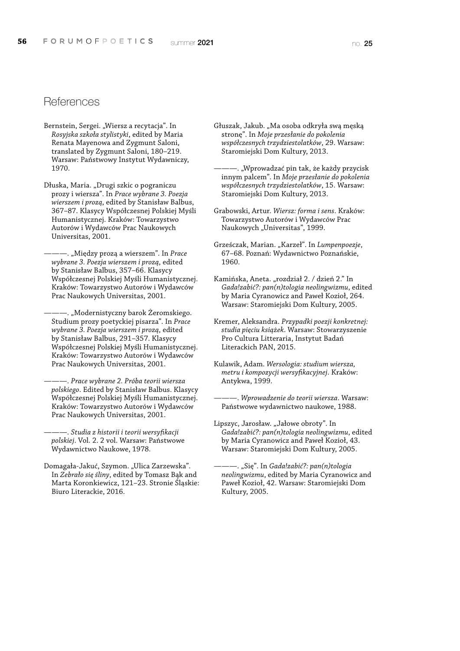#### References

- Bernstein, Sergei. "Wiersz a recytacja". In *Rosyjska szkoła stylistyki*, edited by Maria Renata Mayenowa and Zygmunt Saloni, translated by Zygmunt Saloni, 180–219. Warsaw: Państwowy Instytut Wydawniczy, 1970.
- Dłuska, Maria. "Drugi szkic o pograniczu prozy i wiersza". In *Prace wybrane 3. Poezja wierszem i prozą*, edited by Stanisław Balbus, 367–87. Klasycy Współczesnej Polskiej Myśli Humanistycznej. Kraków: Towarzystwo Autorów i Wydawców Prac Naukowych Universitas, 2001.
- ———. "Między prozą a wierszem". In *Prace wybrane 3. Poezja wierszem i prozą*, edited by Stanisław Balbus, 357–66. Klasycy Współczesnej Polskiej Myśli Humanistycznej. Kraków: Towarzystwo Autorów i Wydawców Prac Naukowych Universitas, 2001.

———. "Modernistyczny barok Żeromskiego. Studium prozy poetyckiej pisarza". In *Prace wybrane 3. Poezja wierszem i prozą*, edited by Stanisław Balbus, 291–357. Klasycy Współczesnej Polskiej Myśli Humanistycznej. Kraków: Towarzystwo Autorów i Wydawców Prac Naukowych Universitas, 2001.

- ———. *Prace wybrane 2. Próba teorii wiersza polskiego*. Edited by Stanisław Balbus. Klasycy Współczesnej Polskiej Myśli Humanistycznej. Kraków: Towarzystwo Autorów i Wydawców Prac Naukowych Universitas, 2001.
- ———. *Studia z historii i teorii wersyfikacji polskiej*. Vol. 2. 2 vol. Warsaw: Państwowe Wydawnictwo Naukowe, 1978.
- Domagała-Jakuć, Szymon. "Ulica Zarzewska". In *Zebrało się śliny*, edited by Tomasz Bąk and Marta Koronkiewicz, 121–23. Stronie Śląskie: Biuro Literackie, 2016.
- Głuszak, Jakub. "Ma osoba odkryła swą męską stronę". In *Moje przesłanie do pokolenia współczesnych trzydziestolatków*, 29. Warsaw: Staromiejski Dom Kultury, 2013.
	- ———. "Wprowadzać pin tak, że każdy przycisk innym palcem". In *Moje przesłanie do pokolenia współczesnych trzydziestolatków*, 15. Warsaw: Staromiejski Dom Kultury, 2013.
- Grabowski, Artur. *Wiersz: forma i sens*. Kraków: Towarzystwo Autorów i Wydawców Prac Naukowych "Universitas", 1999.
- Grześczak, Marian. "Karzeł". In *Lumpenpoezje*, 67–68. Poznań: Wydawnictwo Poznańskie, 1960.
- Kamińska, Aneta. "rozdział 2. / dzień 2." In *Gada!zabić?: pan(n)tologia neolingwizmu*, edited by Maria Cyranowicz and Paweł Kozioł, 264. Warsaw: Staromiejski Dom Kultury, 2005.
- Kremer, Aleksandra. *Przypadki poezji konkretnej: studia pięciu książek*. Warsaw: Stowarzyszenie Pro Cultura Litteraria, Instytut Badań Literackich PAN, 2015.
- Kulawik, Adam. *Wersologia: studium wiersza, metru i kompozycji wersyfikacyjnej*. Kraków: Antykwa, 1999.
- ———. *Wprowadzenie do teorii wiersza*. Warsaw: Państwowe wydawnictwo naukowe, 1988.
- Lipszyc, Jarosław. "Jałowe obroty". In *Gada!zabić?: pan(n)tologia neolingwizmu*, edited by Maria Cyranowicz and Paweł Kozioł, 43. Warsaw: Staromiejski Dom Kultury, 2005.
	- ———. "Się". In *Gada!zabić?: pan(n)tologia neolingwizmu*, edited by Maria Cyranowicz and Paweł Kozioł, 42. Warsaw: Staromiejski Dom Kultury, 2005.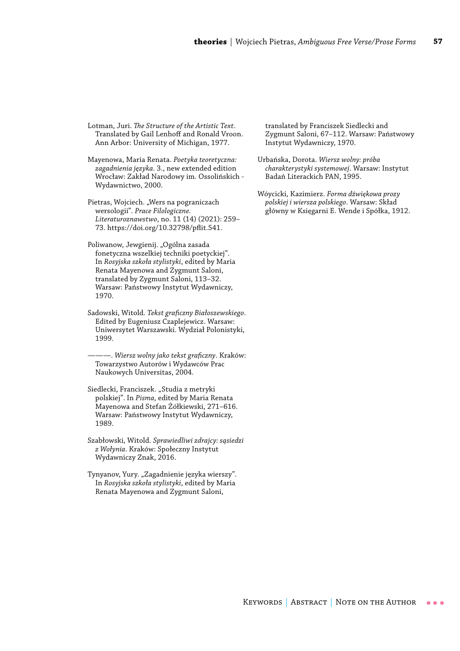Lotman, Juri. *The Structure of the Artistic Text*. Translated by Gail Lenhoff and Ronald Vroon. Ann Arbor: University of Michigan, 1977.

Mayenowa, Maria Renata. *Poetyka teoretyczna: zagadnienia języka*. 3., new extended edition Wrocław: Zakład Narodowy im. Ossolińskich - Wydawnictwo, 2000.

Pietras, Wojciech. "Wers na pograniczach wersologii". *Prace Filologiczne. Literaturoznawstwo*, no. 11 (14) (2021): 259– 73. https://doi.org/10.32798/pflit.541.

Poliwanow, Jewgienij. "Ogólna zasada fonetyczna wszelkiej techniki poetyckiej". In *Rosyjska szkoła stylistyki*, edited by Maria Renata Mayenowa and Zygmunt Saloni, translated by Zygmunt Saloni, 113–32. Warsaw: Państwowy Instytut Wydawniczy, 1970.

Sadowski, Witold. *Tekst graficzny Białoszewskiego*. Edited by Eugeniusz Czaplejewicz. Warsaw: Uniwersytet Warszawski. Wydział Polonistyki, 1999.

———. *Wiersz wolny jako tekst graficzny*. Kraków: Towarzystwo Autorów i Wydawców Prac Naukowych Universitas, 2004.

Siedlecki, Franciszek. "Studia z metryki polskiej". In *Pisma*, edited by Maria Renata Mayenowa and Stefan Żółkiewski, 271–616. Warsaw: Państwowy Instytut Wydawniczy, 1989.

Szabłowski, Witold. *Sprawiedliwi zdrajcy: sąsiedzi z Wołynia*. Kraków: Społeczny Instytut Wydawniczy Znak, 2016.

Tynyanov, Yury. "Zagadnienie języka wierszy". In *Rosyjska szkoła stylistyki*, edited by Maria Renata Mayenowa and Zygmunt Saloni,

translated by Franciszek Siedlecki and Zygmunt Saloni, 67–112. Warsaw: Państwowy Instytut Wydawniczy, 1970.

Urbańska, Dorota. *Wiersz wolny: próba charakterystyki systemowej*. Warsaw: Instytut Badań Literackich PAN, 1995.

Wóycicki, Kazimierz. *Forma dźwiękowa prozy polskiej i wiersza polskiego*. Warsaw: Skład główny w Księgarni E. Wende i Spółka, 1912.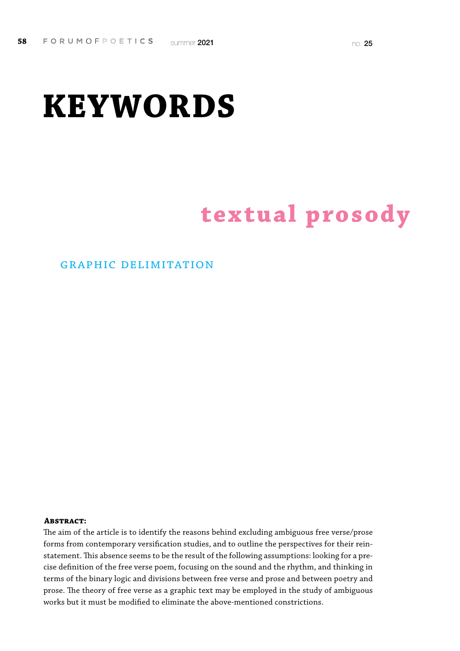## **KEYWORDS**

### **textual prosody**

#### graphic delimitation

#### **Abstract:**

The aim of the article is to identify the reasons behind excluding ambiguous free verse/prose forms from contemporary versification studies, and to outline the perspectives for their reinstatement. This absence seems to be the result of the following assumptions: looking for a precise definition of the free verse poem, focusing on the sound and the rhythm, and thinking in terms of the binary logic and divisions between free verse and prose and between poetry and prose. The theory of free verse as a graphic text may be employed in the study of ambiguous works but it must be modified to eliminate the above-mentioned constrictions.